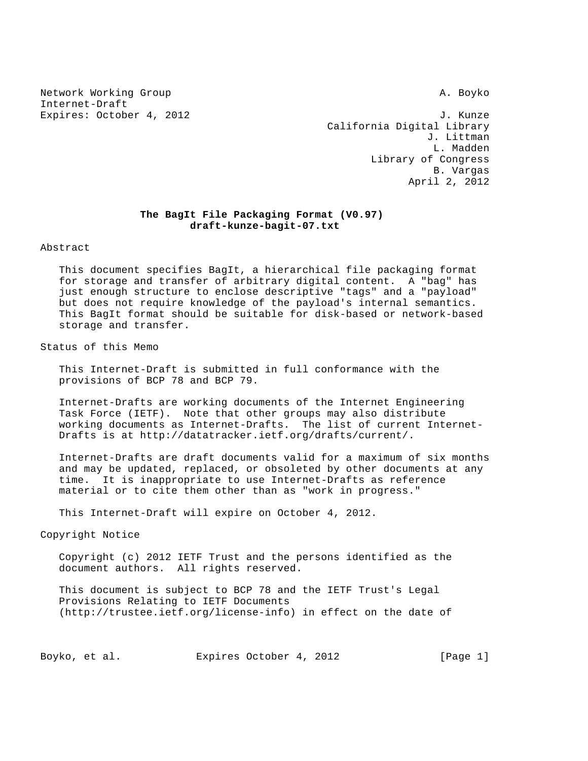Network Working Group and the set of the set of the set of the set of the set of the set of the set of the set o Internet-Draft

Expires: October 4, 2012 **J. Kunzer**  California Digital Library J. Littman L. Madden Library of Congress B. Vargas April 2, 2012

# **The BagIt File Packaging Format (V0.97) draft-kunze-bagit-07.txt**

Abstract

 This document specifies BagIt, a hierarchical file packaging format for storage and transfer of arbitrary digital content. A "bag" has just enough structure to enclose descriptive "tags" and a "payload" but does not require knowledge of the payload's internal semantics. This BagIt format should be suitable for disk-based or network-based storage and transfer.

Status of this Memo

 This Internet-Draft is submitted in full conformance with the provisions of BCP 78 and BCP 79.

 Internet-Drafts are working documents of the Internet Engineering Task Force (IETF). Note that other groups may also distribute working documents as Internet-Drafts. The list of current Internet- Drafts is at http://datatracker.ietf.org/drafts/current/.

 Internet-Drafts are draft documents valid for a maximum of six months and may be updated, replaced, or obsoleted by other documents at any time. It is inappropriate to use Internet-Drafts as reference material or to cite them other than as "work in progress."

This Internet-Draft will expire on October 4, 2012.

Copyright Notice

 Copyright (c) 2012 IETF Trust and the persons identified as the document authors. All rights reserved.

 This document is subject to BCP 78 and the IETF Trust's Legal Provisions Relating to IETF Documents (http://trustee.ietf.org/license-info) in effect on the date of

Boyko, et al. Expires October 4, 2012 [Page 1]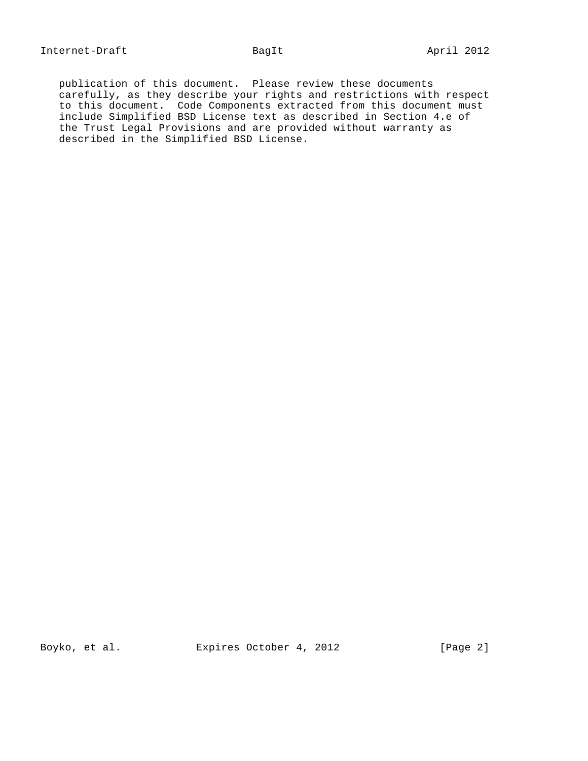publication of this document. Please review these documents carefully, as they describe your rights and restrictions with respect to this document. Code Components extracted from this document must include Simplified BSD License text as described in Section 4.e of the Trust Legal Provisions and are provided without warranty as described in the Simplified BSD License.

Boyko, et al. Expires October 4, 2012 [Page 2]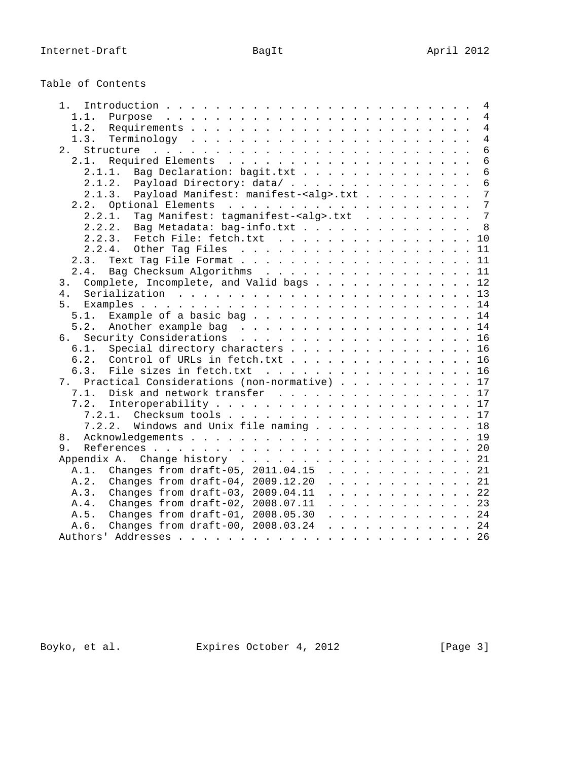| Table of Contents |  |
|-------------------|--|
|-------------------|--|

| 1 <sup>1</sup><br>4                                         |
|-------------------------------------------------------------|
| 4<br>1.1.<br>Purpose                                        |
| 1.2.<br>4                                                   |
| 1.3.<br>4                                                   |
| 2.<br>6                                                     |
| 6                                                           |
| 2.1.1. Bag Declaration: bagit.txt<br>6                      |
|                                                             |
| 2.1.2. Payload Directory: data/<br>6<br>7                   |
| Payload Manifest: manifest- <alg>.txt<br/>2.1.3.</alg>      |
| 7                                                           |
| Tag Manifest: tagmanifest- <alg>.txt<br/>7<br/>2.2.1.</alg> |
| 2.2.2.<br>Bag Metadata: bag-info.txt<br>8                   |
| 2.2.3. Fetch File: fetch.txt<br>10                          |
| 2.2.4.<br>11                                                |
| 2.3.<br>11                                                  |
| Bag Checksum Algorithms 11<br>2.4.                          |
| Complete, Incomplete, and Valid bags 12<br>3.               |
| 4 <sub>1</sub>                                              |
|                                                             |
| 5.1.<br>Example of a basic bag 14                           |
| 5.2.<br>Another example bag 14                              |
| Security Considerations 16<br>რ.                            |
| Special directory characters 16<br>6.1.                     |
| 6.2.<br>Control of URLs in fetch.txt 16                     |
| 6.3.<br>File sizes in fetch.txt 16                          |
| 7. Practical Considerations (non-normative) 17              |
| Disk and network transfer 17<br>7.1.                        |
| 7.2.                                                        |
|                                                             |
| 7.2.2. Windows and Unix file naming 18                      |
| 8.                                                          |
| 9.                                                          |
| Appendix A. Change history 21                               |
| A.1. Changes from draft-05, 2011.04.15 21                   |
| Changes from draft-04, 2009.12.20 21<br>A.2.                |
| Changes from draft-03, 2009.04.11 22<br>A.3.                |
|                                                             |
| Changes from draft-02, 2008.07.11 23<br>A.4.                |
| A.5.<br>Changes from draft-01, 2008.05.30 24                |
| Changes from draft-00, 2008.03.24 24<br>A.6.                |
|                                                             |

Boyko, et al. Expires October 4, 2012 [Page 3]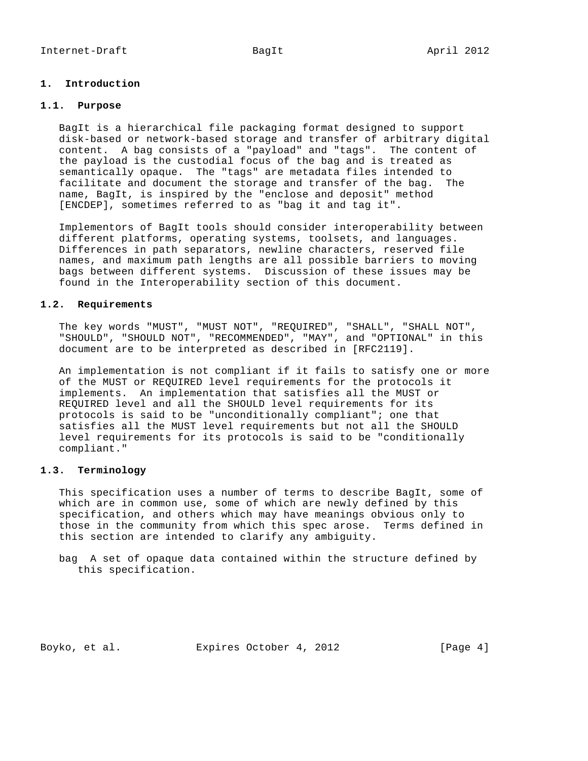## **1. Introduction**

## **1.1. Purpose**

 BagIt is a hierarchical file packaging format designed to support disk-based or network-based storage and transfer of arbitrary digital content. A bag consists of a "payload" and "tags". The content of the payload is the custodial focus of the bag and is treated as semantically opaque. The "tags" are metadata files intended to facilitate and document the storage and transfer of the bag. The name, BagIt, is inspired by the "enclose and deposit" method [ENCDEP], sometimes referred to as "bag it and tag it".

 Implementors of BagIt tools should consider interoperability between different platforms, operating systems, toolsets, and languages. Differences in path separators, newline characters, reserved file names, and maximum path lengths are all possible barriers to moving bags between different systems. Discussion of these issues may be found in the Interoperability section of this document.

#### **1.2. Requirements**

 The key words "MUST", "MUST NOT", "REQUIRED", "SHALL", "SHALL NOT", "SHOULD", "SHOULD NOT", "RECOMMENDED", "MAY", and "OPTIONAL" in this document are to be interpreted as described in [RFC2119].

 An implementation is not compliant if it fails to satisfy one or more of the MUST or REQUIRED level requirements for the protocols it implements. An implementation that satisfies all the MUST or REQUIRED level and all the SHOULD level requirements for its protocols is said to be "unconditionally compliant"; one that satisfies all the MUST level requirements but not all the SHOULD level requirements for its protocols is said to be "conditionally compliant."

# **1.3. Terminology**

 This specification uses a number of terms to describe BagIt, some of which are in common use, some of which are newly defined by this specification, and others which may have meanings obvious only to those in the community from which this spec arose. Terms defined in this section are intended to clarify any ambiguity.

 bag A set of opaque data contained within the structure defined by this specification.

Boyko, et al. Expires October 4, 2012 [Page 4]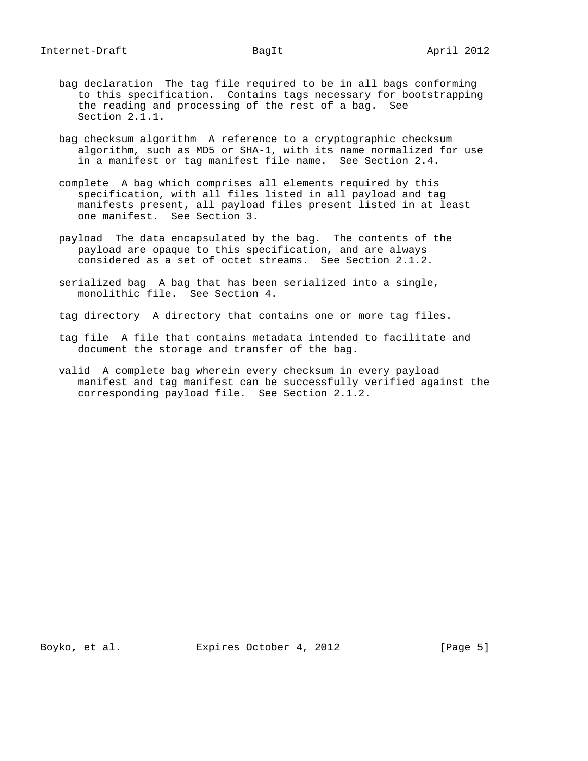- bag declaration The tag file required to be in all bags conforming to this specification. Contains tags necessary for bootstrapping the reading and processing of the rest of a bag. See Section 2.1.1.
- bag checksum algorithm A reference to a cryptographic checksum algorithm, such as MD5 or SHA-1, with its name normalized for use in a manifest or tag manifest file name. See Section 2.4.
- complete A bag which comprises all elements required by this specification, with all files listed in all payload and tag manifests present, all payload files present listed in at least one manifest. See Section 3.
- payload The data encapsulated by the bag. The contents of the payload are opaque to this specification, and are always considered as a set of octet streams. See Section 2.1.2.
- serialized bag A bag that has been serialized into a single, monolithic file. See Section 4.
- tag directory A directory that contains one or more tag files.
- tag file A file that contains metadata intended to facilitate and document the storage and transfer of the bag.
- valid A complete bag wherein every checksum in every payload manifest and tag manifest can be successfully verified against the corresponding payload file. See Section 2.1.2.

Boyko, et al. Expires October 4, 2012 [Page 5]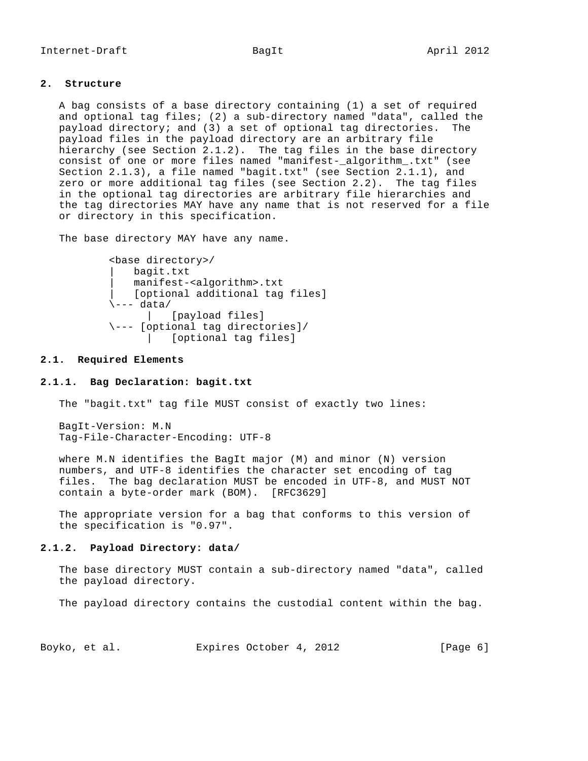## **2. Structure**

 A bag consists of a base directory containing (1) a set of required and optional tag files; (2) a sub-directory named "data", called the payload directory; and (3) a set of optional tag directories. The payload files in the payload directory are an arbitrary file hierarchy (see Section 2.1.2). The tag files in the base directory consist of one or more files named "manifest-\_algorithm\_.txt" (see Section 2.1.3), a file named "bagit.txt" (see Section 2.1.1), and zero or more additional tag files (see Section 2.2). The tag files in the optional tag directories are arbitrary file hierarchies and the tag directories MAY have any name that is not reserved for a file or directory in this specification.

The base directory MAY have any name.

```
 <base directory>/
    | bagit.txt
    | manifest-<algorithm>.txt
     | [optional additional tag files]
\left\langle \text{--- } \text{data} \right\rangle | [payload files]
 \--- [optional tag directories]/
        | [optional tag files]
```
## **2.1. Required Elements**

#### **2.1.1. Bag Declaration: bagit.txt**

The "bagit.txt" tag file MUST consist of exactly two lines:

 BagIt-Version: M.N Tag-File-Character-Encoding: UTF-8

 where M.N identifies the BagIt major (M) and minor (N) version numbers, and UTF-8 identifies the character set encoding of tag files. The bag declaration MUST be encoded in UTF-8, and MUST NOT contain a byte-order mark (BOM). [RFC3629]

 The appropriate version for a bag that conforms to this version of the specification is "0.97".

## **2.1.2. Payload Directory: data/**

 The base directory MUST contain a sub-directory named "data", called the payload directory.

The payload directory contains the custodial content within the bag.

| Expires October 4, 2012<br>Boyko, et al. | [Page 6] |  |
|------------------------------------------|----------|--|
|------------------------------------------|----------|--|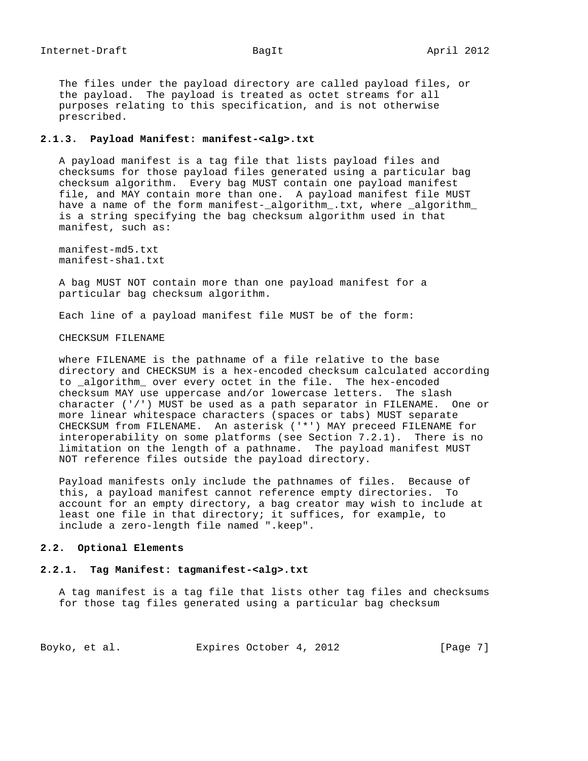The files under the payload directory are called payload files, or the payload. The payload is treated as octet streams for all purposes relating to this specification, and is not otherwise prescribed.

### **2.1.3. Payload Manifest: manifest-<alg>.txt**

 A payload manifest is a tag file that lists payload files and checksums for those payload files generated using a particular bag checksum algorithm. Every bag MUST contain one payload manifest file, and MAY contain more than one. A payload manifest file MUST have a name of the form manifest-\_algorithm\_.txt, where \_algorithm\_ is a string specifying the bag checksum algorithm used in that manifest, such as:

 manifest-md5.txt manifest-sha1.txt

 A bag MUST NOT contain more than one payload manifest for a particular bag checksum algorithm.

Each line of a payload manifest file MUST be of the form:

### CHECKSUM FILENAME

 where FILENAME is the pathname of a file relative to the base directory and CHECKSUM is a hex-encoded checksum calculated according to \_algorithm\_ over every octet in the file. The hex-encoded checksum MAY use uppercase and/or lowercase letters. The slash character ('/') MUST be used as a path separator in FILENAME. One or more linear whitespace characters (spaces or tabs) MUST separate CHECKSUM from FILENAME. An asterisk ('\*') MAY preceed FILENAME for interoperability on some platforms (see Section 7.2.1). There is no limitation on the length of a pathname. The payload manifest MUST NOT reference files outside the payload directory.

 Payload manifests only include the pathnames of files. Because of this, a payload manifest cannot reference empty directories. To account for an empty directory, a bag creator may wish to include at least one file in that directory; it suffices, for example, to include a zero-length file named ".keep".

## **2.2. Optional Elements**

## **2.2.1. Tag Manifest: tagmanifest-<alg>.txt**

 A tag manifest is a tag file that lists other tag files and checksums for those tag files generated using a particular bag checksum

| Expires October 4, 2012<br>Boyko, et al. | [Page 7] |
|------------------------------------------|----------|
|------------------------------------------|----------|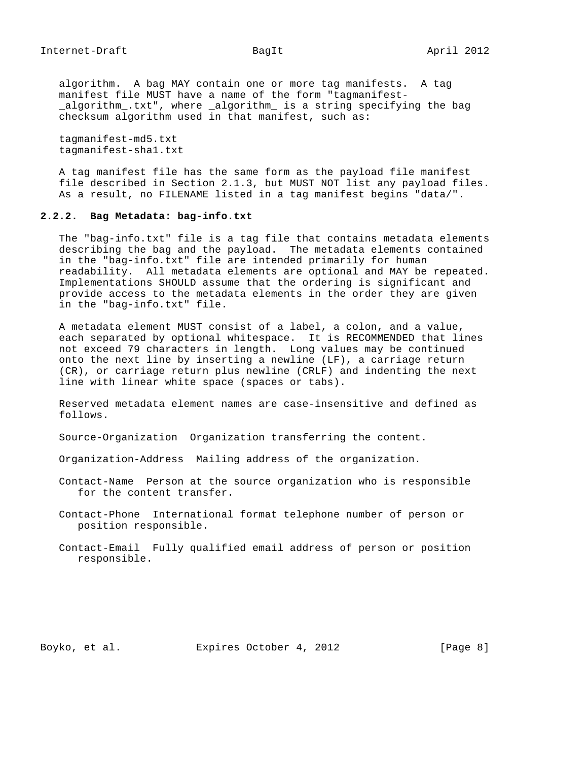algorithm. A bag MAY contain one or more tag manifests. A tag manifest file MUST have a name of the form "tagmanifest- \_algorithm\_.txt", where \_algorithm\_ is a string specifying the bag checksum algorithm used in that manifest, such as:

 tagmanifest-md5.txt tagmanifest-sha1.txt

 A tag manifest file has the same form as the payload file manifest file described in Section 2.1.3, but MUST NOT list any payload files. As a result, no FILENAME listed in a tag manifest begins "data/".

# **2.2.2. Bag Metadata: bag-info.txt**

 The "bag-info.txt" file is a tag file that contains metadata elements describing the bag and the payload. The metadata elements contained in the "bag-info.txt" file are intended primarily for human readability. All metadata elements are optional and MAY be repeated. Implementations SHOULD assume that the ordering is significant and provide access to the metadata elements in the order they are given in the "bag-info.txt" file.

 A metadata element MUST consist of a label, a colon, and a value, each separated by optional whitespace. It is RECOMMENDED that lines not exceed 79 characters in length. Long values may be continued onto the next line by inserting a newline (LF), a carriage return (CR), or carriage return plus newline (CRLF) and indenting the next line with linear white space (spaces or tabs).

 Reserved metadata element names are case-insensitive and defined as follows.

Source-Organization Organization transferring the content.

Organization-Address Mailing address of the organization.

 Contact-Name Person at the source organization who is responsible for the content transfer.

 Contact-Phone International format telephone number of person or position responsible.

 Contact-Email Fully qualified email address of person or position responsible.

Boyko, et al. Expires October 4, 2012 [Page 8]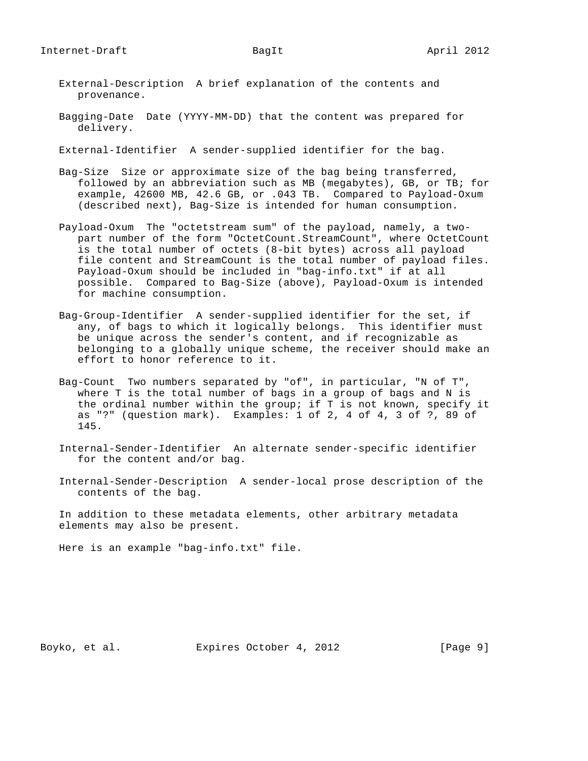- External-Description A brief explanation of the contents and provenance.
- Bagging-Date Date (YYYY-MM-DD) that the content was prepared for delivery.
- External-Identifier A sender-supplied identifier for the bag.
- Bag-Size Size or approximate size of the bag being transferred, followed by an abbreviation such as MB (megabytes), GB, or TB; for example, 42600 MB, 42.6 GB, or .043 TB. Compared to Payload-Oxum (described next), Bag-Size is intended for human consumption.
- Payload-Oxum The "octetstream sum" of the payload, namely, a two part number of the form "OctetCount.StreamCount", where OctetCount is the total number of octets (8-bit bytes) across all payload file content and StreamCount is the total number of payload files. Payload-Oxum should be included in "bag-info.txt" if at all possible. Compared to Bag-Size (above), Payload-Oxum is intended for machine consumption.
- Bag-Group-Identifier A sender-supplied identifier for the set, if any, of bags to which it logically belongs. This identifier must be unique across the sender's content, and if recognizable as belonging to a globally unique scheme, the receiver should make an effort to honor reference to it.
- Bag-Count Two numbers separated by "of", in particular, "N of T", where T is the total number of bags in a group of bags and N is the ordinal number within the group; if T is not known, specify it as "?" (question mark). Examples: 1 of 2, 4 of 4, 3 of ?, 89 of 145.
- Internal-Sender-Identifier An alternate sender-specific identifier for the content and/or bag.
- Internal-Sender-Description A sender-local prose description of the contents of the bag.

 In addition to these metadata elements, other arbitrary metadata elements may also be present.

Here is an example "bag-info.txt" file.

Boyko, et al. Expires October 4, 2012 [Page 9]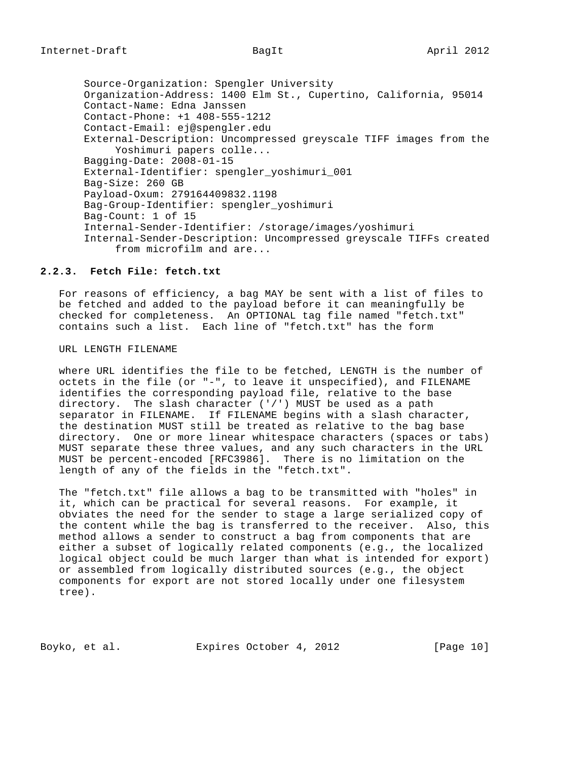Source-Organization: Spengler University Organization-Address: 1400 Elm St., Cupertino, California, 95014 Contact-Name: Edna Janssen Contact-Phone: +1 408-555-1212 Contact-Email: ej@spengler.edu External-Description: Uncompressed greyscale TIFF images from the Yoshimuri papers colle... Bagging-Date: 2008-01-15 External-Identifier: spengler\_yoshimuri\_001 Bag-Size: 260 GB Payload-Oxum: 279164409832.1198 Bag-Group-Identifier: spengler\_yoshimuri Bag-Count: 1 of 15 Internal-Sender-Identifier: /storage/images/yoshimuri Internal-Sender-Description: Uncompressed greyscale TIFFs created from microfilm and are...

# **2.2.3. Fetch File: fetch.txt**

 For reasons of efficiency, a bag MAY be sent with a list of files to be fetched and added to the payload before it can meaningfully be checked for completeness. An OPTIONAL tag file named "fetch.txt" contains such a list. Each line of "fetch.txt" has the form

### URL LENGTH FILENAME

 where URL identifies the file to be fetched, LENGTH is the number of octets in the file (or "-", to leave it unspecified), and FILENAME identifies the corresponding payload file, relative to the base directory. The slash character  $('')'$  MUST be used as a path separator in FILENAME. If FILENAME begins with a slash character, the destination MUST still be treated as relative to the bag base directory. One or more linear whitespace characters (spaces or tabs) MUST separate these three values, and any such characters in the URL MUST be percent-encoded [RFC3986]. There is no limitation on the length of any of the fields in the "fetch.txt".

 The "fetch.txt" file allows a bag to be transmitted with "holes" in it, which can be practical for several reasons. For example, it obviates the need for the sender to stage a large serialized copy of the content while the bag is transferred to the receiver. Also, this method allows a sender to construct a bag from components that are either a subset of logically related components (e.g., the localized logical object could be much larger than what is intended for export) or assembled from logically distributed sources (e.g., the object components for export are not stored locally under one filesystem tree).

Boyko, et al. Expires October 4, 2012 [Page 10]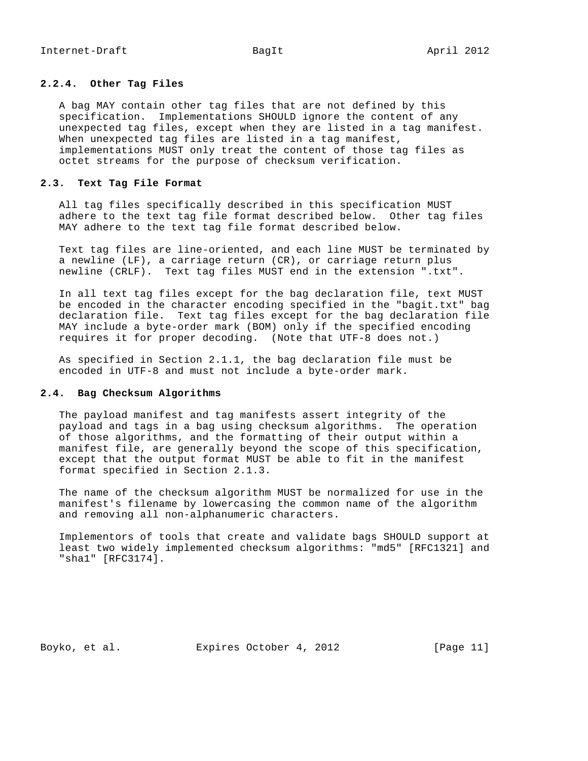## **2.2.4. Other Tag Files**

 A bag MAY contain other tag files that are not defined by this specification. Implementations SHOULD ignore the content of any unexpected tag files, except when they are listed in a tag manifest. When unexpected tag files are listed in a tag manifest, implementations MUST only treat the content of those tag files as octet streams for the purpose of checksum verification.

## **2.3. Text Tag File Format**

 All tag files specifically described in this specification MUST adhere to the text tag file format described below. Other tag files MAY adhere to the text tag file format described below.

 Text tag files are line-oriented, and each line MUST be terminated by a newline (LF), a carriage return (CR), or carriage return plus newline (CRLF). Text tag files MUST end in the extension ".txt".

 In all text tag files except for the bag declaration file, text MUST be encoded in the character encoding specified in the "bagit.txt" bag declaration file. Text tag files except for the bag declaration file MAY include a byte-order mark (BOM) only if the specified encoding requires it for proper decoding. (Note that UTF-8 does not.)

 As specified in Section 2.1.1, the bag declaration file must be encoded in UTF-8 and must not include a byte-order mark.

### **2.4. Bag Checksum Algorithms**

 The payload manifest and tag manifests assert integrity of the payload and tags in a bag using checksum algorithms. The operation of those algorithms, and the formatting of their output within a manifest file, are generally beyond the scope of this specification, except that the output format MUST be able to fit in the manifest format specified in Section 2.1.3.

 The name of the checksum algorithm MUST be normalized for use in the manifest's filename by lowercasing the common name of the algorithm and removing all non-alphanumeric characters.

 Implementors of tools that create and validate bags SHOULD support at least two widely implemented checksum algorithms: "md5" [RFC1321] and "sha1" [RFC3174].

Boyko, et al. Expires October 4, 2012 [Page 11]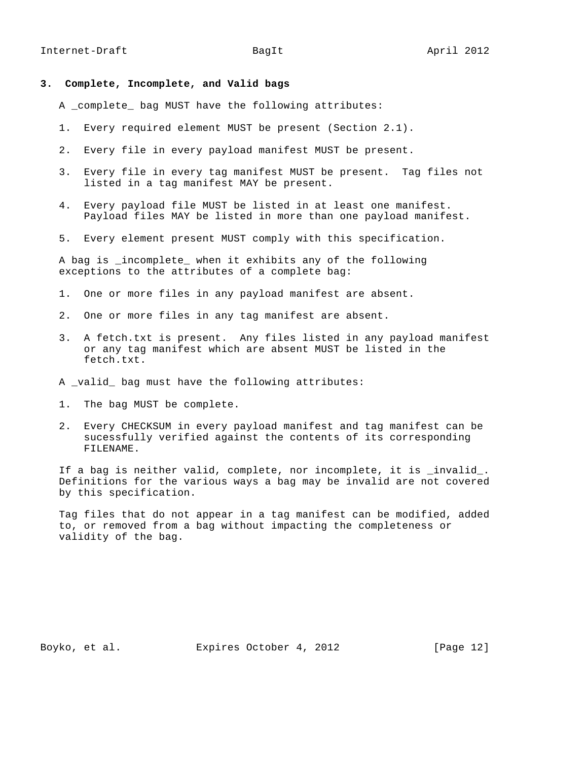- **3. Complete, Incomplete, and Valid bags**
	- A \_complete\_ bag MUST have the following attributes:
	- 1. Every required element MUST be present (Section 2.1).
	- 2. Every file in every payload manifest MUST be present.
	- 3. Every file in every tag manifest MUST be present. Tag files not listed in a tag manifest MAY be present.
	- 4. Every payload file MUST be listed in at least one manifest. Payload files MAY be listed in more than one payload manifest.
	- 5. Every element present MUST comply with this specification.

A bag is incomplete when it exhibits any of the following exceptions to the attributes of a complete bag:

- 1. One or more files in any payload manifest are absent.
- 2. One or more files in any tag manifest are absent.
- 3. A fetch.txt is present. Any files listed in any payload manifest or any tag manifest which are absent MUST be listed in the fetch.txt.
- A \_valid\_ bag must have the following attributes:
- 1. The bag MUST be complete.
- 2. Every CHECKSUM in every payload manifest and tag manifest can be sucessfully verified against the contents of its corresponding FILENAME.

If a bag is neither valid, complete, nor incomplete, it is \_invalid\_. Definitions for the various ways a bag may be invalid are not covered by this specification.

 Tag files that do not appear in a tag manifest can be modified, added to, or removed from a bag without impacting the completeness or validity of the bag.

Boyko, et al. Expires October 4, 2012 [Page 12]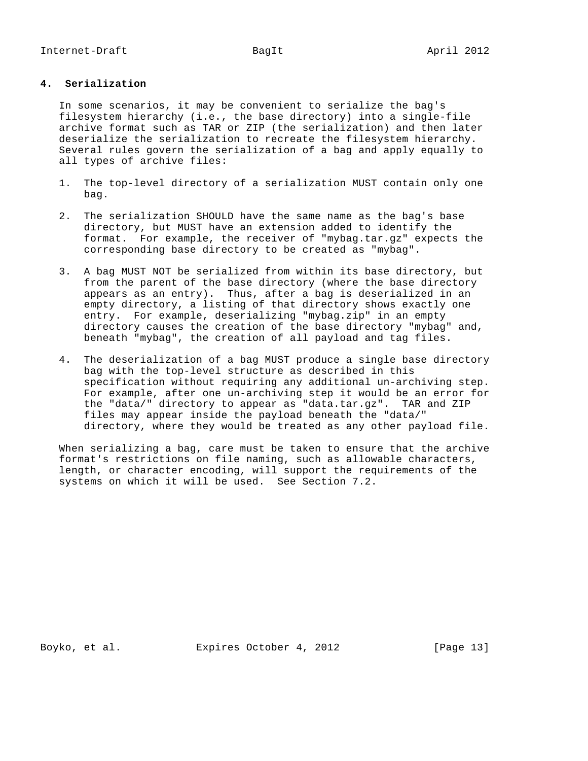# **4. Serialization**

 In some scenarios, it may be convenient to serialize the bag's filesystem hierarchy (i.e., the base directory) into a single-file archive format such as TAR or ZIP (the serialization) and then later deserialize the serialization to recreate the filesystem hierarchy. Several rules govern the serialization of a bag and apply equally to all types of archive files:

- 1. The top-level directory of a serialization MUST contain only one bag.
- 2. The serialization SHOULD have the same name as the bag's base directory, but MUST have an extension added to identify the format. For example, the receiver of "mybag.tar.gz" expects the corresponding base directory to be created as "mybag".
- 3. A bag MUST NOT be serialized from within its base directory, but from the parent of the base directory (where the base directory appears as an entry). Thus, after a bag is deserialized in an empty directory, a listing of that directory shows exactly one entry. For example, deserializing "mybag.zip" in an empty directory causes the creation of the base directory "mybag" and, beneath "mybag", the creation of all payload and tag files.
- 4. The deserialization of a bag MUST produce a single base directory bag with the top-level structure as described in this specification without requiring any additional un-archiving step. For example, after one un-archiving step it would be an error for the "data/" directory to appear as "data.tar.gz". TAR and ZIP files may appear inside the payload beneath the "data/" directory, where they would be treated as any other payload file.

 When serializing a bag, care must be taken to ensure that the archive format's restrictions on file naming, such as allowable characters, length, or character encoding, will support the requirements of the systems on which it will be used. See Section 7.2.

Boyko, et al. Expires October 4, 2012 [Page 13]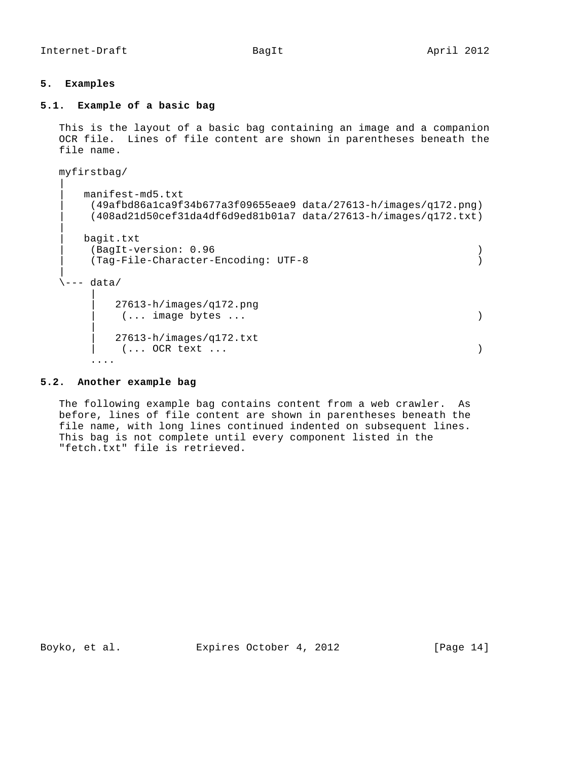Internet-Draft BagIt BagIt April 2012

## **5. Examples**

## **5.1. Example of a basic bag**

 This is the layout of a basic bag containing an image and a companion OCR file. Lines of file content are shown in parentheses beneath the file name.

```
 myfirstbag/
 |
      | manifest-md5.txt
       | (49afbd86a1ca9f34b677a3f09655eae9 data/27613-h/images/q172.png)
       | (408ad21d50cef31da4df6d9ed81b01a7 data/27613-h/images/q172.txt)
 |
      | bagit.txt
       | (BagIt-version: 0.96 )
       | (Tag-File-Character-Encoding: UTF-8 )
 |
  \left\langle \text{---} \right\rangle data/
 |
          | 27613-h/images/q172.png
           | (... image bytes ... )
 |
          | 27613-h/images/q172.txt
         ( \ldots \text{ OCR text } \ldots ) ....
```
## **5.2. Another example bag**

 The following example bag contains content from a web crawler. As before, lines of file content are shown in parentheses beneath the file name, with long lines continued indented on subsequent lines. This bag is not complete until every component listed in the "fetch.txt" file is retrieved.

Boyko, et al. Expires October 4, 2012 [Page 14]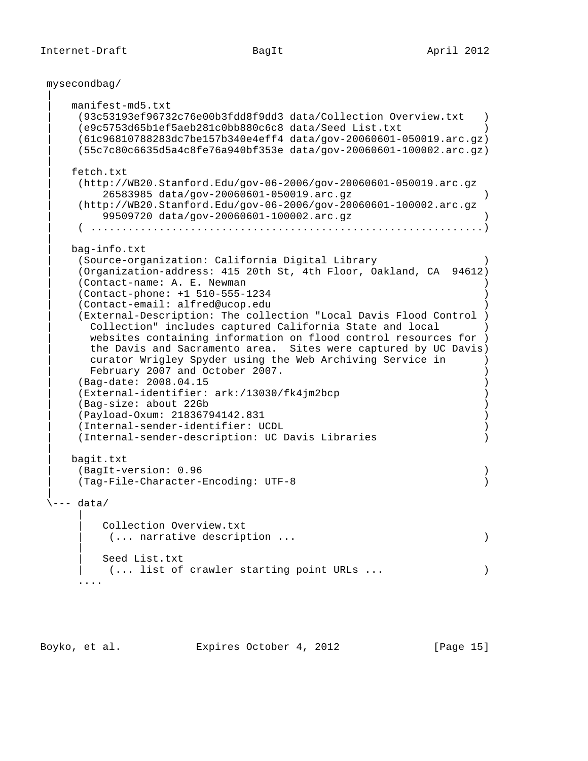```
 mysecondbag/
```
 $\blacksquare$ 

 $\blacksquare$ 

 $\blacksquare$ 

 $\blacksquare$ 

 $\blacksquare$ 

 | manifest-md5.txt | (93c53193ef96732c76e00b3fdd8f9dd3 data/Collection Overview.txt ) | (e9c5753d65b1ef5aeb281c0bb880c6c8 data/Seed List.txt ) | (61c96810788283dc7be157b340e4eff4 data/gov-20060601-050019.arc.gz) | (55c7c80c6635d5a4c8fe76a940bf353e data/gov-20060601-100002.arc.gz) fetch.txt | (http://WB20.Stanford.Edu/gov-06-2006/gov-20060601-050019.arc.gz | 26583985 data/gov-20060601-050019.arc.gz ) | (http://WB20.Stanford.Edu/gov-06-2006/gov-20060601-100002.arc.gz | 99509720 data/gov-20060601-100002.arc.gz ) | ( ...............................................................) | bag-info.txt | (Source-organization: California Digital Library ) | (Organization-address: 415 20th St, 4th Floor, Oakland, CA 94612) | (Contact-name: A. E. Newman ) | (Contact-phone: +1 510-555-1234 ) | (Contact-email: alfred@ucop.edu ) | (External-Description: The collection "Local Davis Flood Control ) | Collection" includes captured California State and local ) websites containing information on flood control resources for ) the Davis and Sacramento area. Sites were captured by UC Davis) curator Wrigley Spyder using the Web Archiving Service in ) February 2007 and October 2007. | (Bag-date: 2008.04.15 ) | (External-identifier: ark:/13030/fk4jm2bcp ) | (Bag-size: about 22Gb ) | (Payload-Oxum: 21836794142.831 ) | (Internal-sender-identifier: UCDL ) | (Internal-sender-description: UC Davis Libraries ) | bagit.txt | (BagIt-version: 0.96 ) | (Tag-File-Character-Encoding: UTF-8 )  $\sqrt{---}$  data/ | Collection Overview.txt | (... narrative description ... ) | | Seed List.txt (... list of crawler starting point URLs ... ) ....

Boyko, et al. Expires October 4, 2012 [Page 15]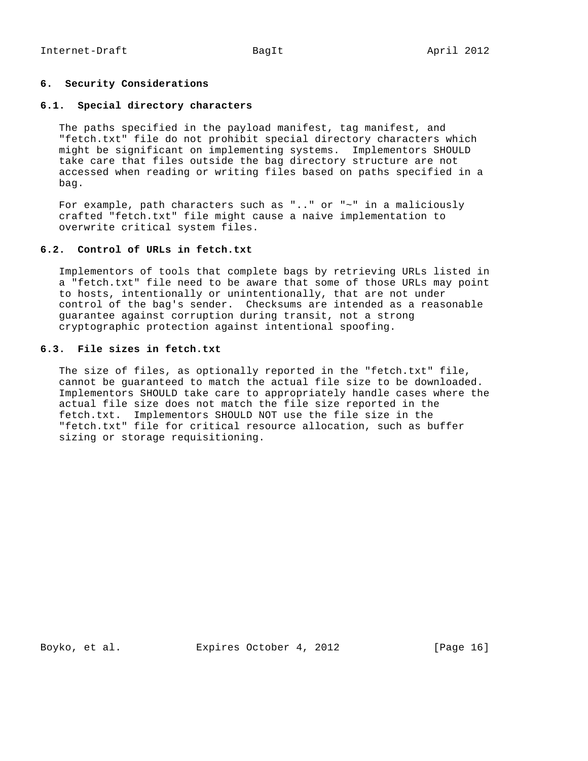# **6. Security Considerations**

### **6.1. Special directory characters**

 The paths specified in the payload manifest, tag manifest, and "fetch.txt" file do not prohibit special directory characters which might be significant on implementing systems. Implementors SHOULD take care that files outside the bag directory structure are not accessed when reading or writing files based on paths specified in a bag.

 For example, path characters such as ".." or "~" in a maliciously crafted "fetch.txt" file might cause a naive implementation to overwrite critical system files.

# **6.2. Control of URLs in fetch.txt**

 Implementors of tools that complete bags by retrieving URLs listed in a "fetch.txt" file need to be aware that some of those URLs may point to hosts, intentionally or unintentionally, that are not under control of the bag's sender. Checksums are intended as a reasonable guarantee against corruption during transit, not a strong cryptographic protection against intentional spoofing.

# **6.3. File sizes in fetch.txt**

 The size of files, as optionally reported in the "fetch.txt" file, cannot be guaranteed to match the actual file size to be downloaded. Implementors SHOULD take care to appropriately handle cases where the actual file size does not match the file size reported in the fetch.txt. Implementors SHOULD NOT use the file size in the "fetch.txt" file for critical resource allocation, such as buffer sizing or storage requisitioning.

Boyko, et al. Expires October 4, 2012 [Page 16]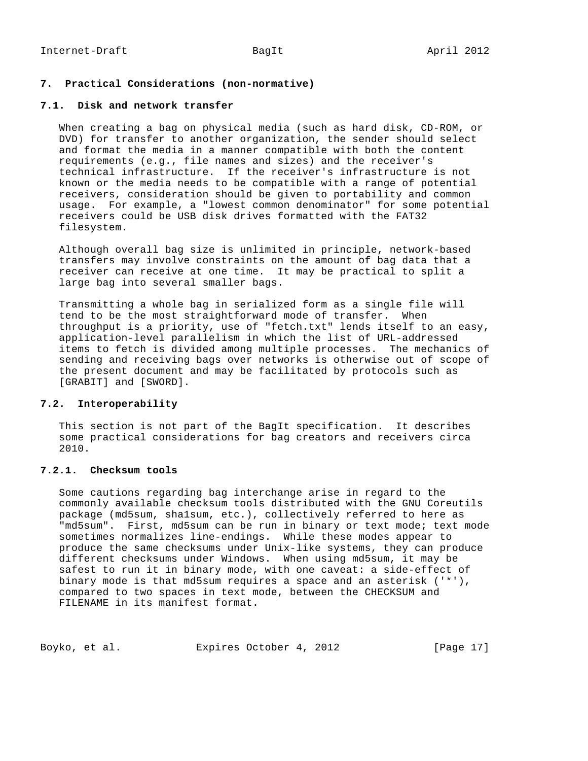# **7. Practical Considerations (non-normative)**

### **7.1. Disk and network transfer**

 When creating a bag on physical media (such as hard disk, CD-ROM, or DVD) for transfer to another organization, the sender should select and format the media in a manner compatible with both the content requirements (e.g., file names and sizes) and the receiver's technical infrastructure. If the receiver's infrastructure is not known or the media needs to be compatible with a range of potential receivers, consideration should be given to portability and common usage. For example, a "lowest common denominator" for some potential receivers could be USB disk drives formatted with the FAT32 filesystem.

 Although overall bag size is unlimited in principle, network-based transfers may involve constraints on the amount of bag data that a receiver can receive at one time. It may be practical to split a large bag into several smaller bags.

 Transmitting a whole bag in serialized form as a single file will tend to be the most straightforward mode of transfer. When throughput is a priority, use of "fetch.txt" lends itself to an easy, application-level parallelism in which the list of URL-addressed items to fetch is divided among multiple processes. The mechanics of sending and receiving bags over networks is otherwise out of scope of the present document and may be facilitated by protocols such as [GRABIT] and [SWORD].

## **7.2. Interoperability**

 This section is not part of the BagIt specification. It describes some practical considerations for bag creators and receivers circa 2010.

# **7.2.1. Checksum tools**

 Some cautions regarding bag interchange arise in regard to the commonly available checksum tools distributed with the GNU Coreutils package (md5sum, sha1sum, etc.), collectively referred to here as "md5sum". First, md5sum can be run in binary or text mode; text mode sometimes normalizes line-endings. While these modes appear to produce the same checksums under Unix-like systems, they can produce different checksums under Windows. When using md5sum, it may be safest to run it in binary mode, with one caveat: a side-effect of binary mode is that md5sum requires a space and an asterisk ('\*'), compared to two spaces in text mode, between the CHECKSUM and FILENAME in its manifest format.

| Boyko, et al. | Expires October 4, 2012 |  |  | [Page 17] |  |
|---------------|-------------------------|--|--|-----------|--|
|---------------|-------------------------|--|--|-----------|--|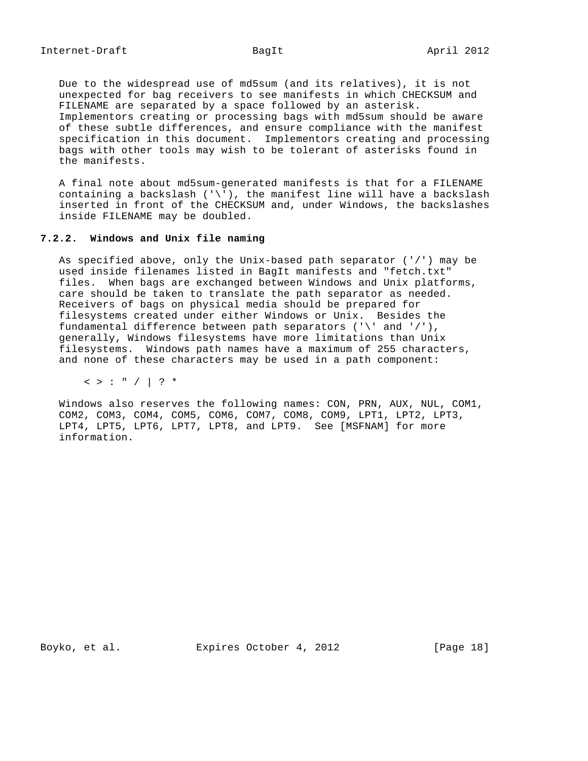Due to the widespread use of md5sum (and its relatives), it is not unexpected for bag receivers to see manifests in which CHECKSUM and FILENAME are separated by a space followed by an asterisk. Implementors creating or processing bags with md5sum should be aware of these subtle differences, and ensure compliance with the manifest specification in this document. Implementors creating and processing bags with other tools may wish to be tolerant of asterisks found in the manifests.

 A final note about md5sum-generated manifests is that for a FILENAME containing a backslash  $(')')$ , the manifest line will have a backslash inserted in front of the CHECKSUM and, under Windows, the backslashes inside FILENAME may be doubled.

## **7.2.2. Windows and Unix file naming**

 As specified above, only the Unix-based path separator ('/') may be used inside filenames listed in BagIt manifests and "fetch.txt"<br>files. When bags are exchanged between Windows and Unix platfo When bags are exchanged between Windows and Unix platforms, care should be taken to translate the path separator as needed. Receivers of bags on physical media should be prepared for filesystems created under either Windows or Unix. Besides the fundamental difference between path separators  $('')'$  and  $'$ /'), generally, Windows filesystems have more limitations than Unix filesystems. Windows path names have a maximum of 255 characters, and none of these characters may be used in a path component:

 $\langle$  > : " / | ? \*

 Windows also reserves the following names: CON, PRN, AUX, NUL, COM1, COM2, COM3, COM4, COM5, COM6, COM7, COM8, COM9, LPT1, LPT2, LPT3, LPT4, LPT5, LPT6, LPT7, LPT8, and LPT9. See [MSFNAM] for more information.

Boyko, et al. Expires October 4, 2012 [Page 18]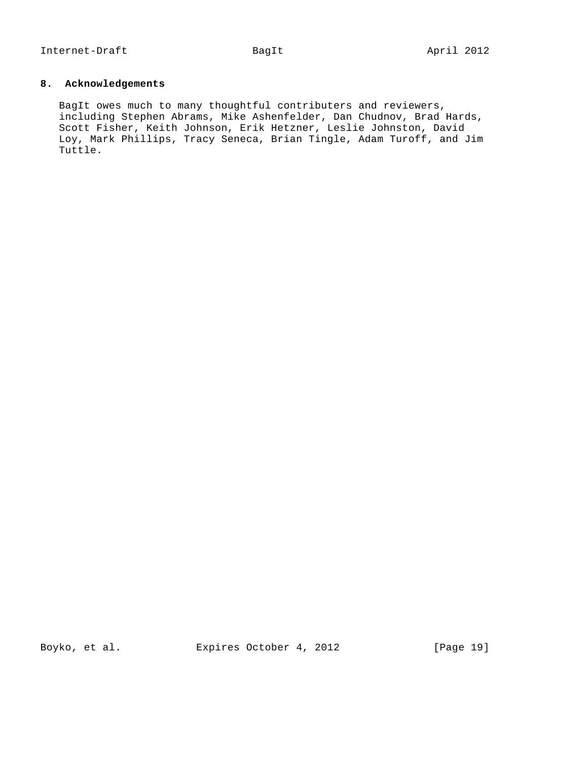# **8. Acknowledgements**

 BagIt owes much to many thoughtful contributers and reviewers, including Stephen Abrams, Mike Ashenfelder, Dan Chudnov, Brad Hards, Scott Fisher, Keith Johnson, Erik Hetzner, Leslie Johnston, David Loy, Mark Phillips, Tracy Seneca, Brian Tingle, Adam Turoff, and Jim Tuttle.

Boyko, et al. Expires October 4, 2012 [Page 19]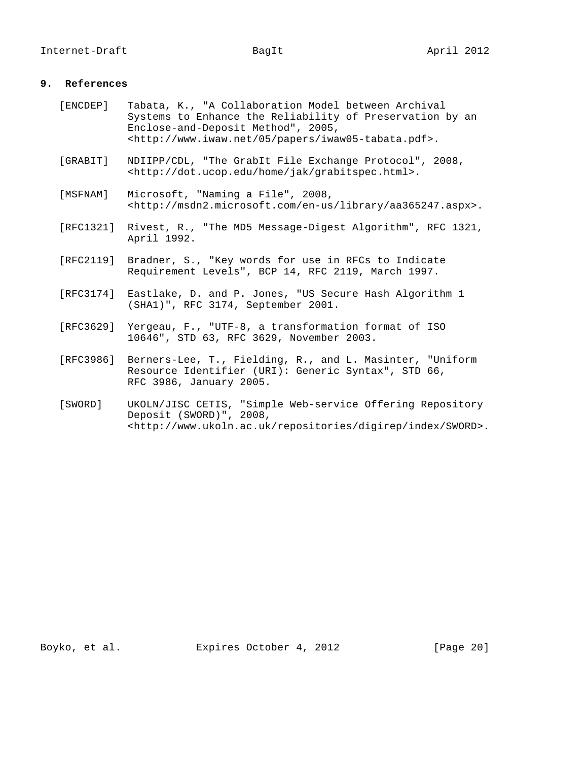# **9. References**

| [ENCDEP]  | Tabata, K., "A Collaboration Model between Archival<br>Systems to Enhance the Reliability of Preservation by an<br>Enclose-and-Deposit Method", 2005,<br><http: 05="" iwaw05-tabata.pdf="" papers="" www.iwaw.net="">.</http:> |
|-----------|--------------------------------------------------------------------------------------------------------------------------------------------------------------------------------------------------------------------------------|
| [GRABIT]  | NDIIPP/CDL, "The GrabIt File Exchange Protocol", 2008,<br><http: dot.ucop.edu="" grabitspec.html="" home="" jak="">.</http:>                                                                                                   |
| [MSFNAM]  | Microsoft, "Naming a File", 2008,<br><http: aa365247.aspx="" en-us="" library="" msdn2.microsoft.com="">.</http:>                                                                                                              |
| [RFC1321] | Rivest, R., "The MD5 Message-Digest Algorithm", RFC 1321,<br>April 1992.                                                                                                                                                       |
| [RFC2119] | Bradner, S., "Key words for use in RFCs to Indicate<br>Requirement Levels", BCP 14, RFC 2119, March 1997.                                                                                                                      |
| [RFC3174] | Eastlake, D. and P. Jones, "US Secure Hash Algorithm 1<br>(SHA1)", RFC 3174, September 2001.                                                                                                                                   |
| [RFC3629] | Yergeau, F., "UTF-8, a transformation format of ISO<br>10646", STD 63, RFC 3629, November 2003.                                                                                                                                |
| [RFC3986] | Berners-Lee, T., Fielding, R., and L. Masinter, "Uniform<br>Resource Identifier (URI): Generic Syntax", STD 66,<br>RFC 3986, January 2005.                                                                                     |
| [SWORD]   | UKOLN/JISC CETIS, "Simple Web-service Offering Repository<br>Deposit (SWORD)", 2008,<br><http: digirep="" index="" repositories="" sword="" www.ukoln.ac.uk="">.</http:>                                                       |

Boyko, et al. Expires October 4, 2012 [Page 20]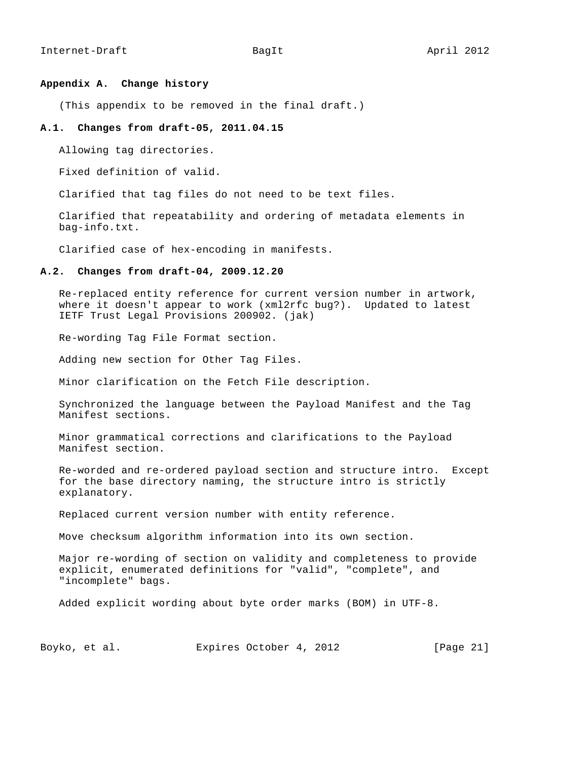### **Appendix A. Change history**

(This appendix to be removed in the final draft.)

### **A.1. Changes from draft-05, 2011.04.15**

Allowing tag directories.

Fixed definition of valid.

Clarified that tag files do not need to be text files.

 Clarified that repeatability and ordering of metadata elements in bag-info.txt.

Clarified case of hex-encoding in manifests.

### **A.2. Changes from draft-04, 2009.12.20**

 Re-replaced entity reference for current version number in artwork, where it doesn't appear to work (xml2rfc bug?). Updated to latest IETF Trust Legal Provisions 200902. (jak)

Re-wording Tag File Format section.

Adding new section for Other Tag Files.

Minor clarification on the Fetch File description.

 Synchronized the language between the Payload Manifest and the Tag Manifest sections.

 Minor grammatical corrections and clarifications to the Payload Manifest section.

 Re-worded and re-ordered payload section and structure intro. Except for the base directory naming, the structure intro is strictly explanatory.

Replaced current version number with entity reference.

Move checksum algorithm information into its own section.

 Major re-wording of section on validity and completeness to provide explicit, enumerated definitions for "valid", "complete", and "incomplete" bags.

Added explicit wording about byte order marks (BOM) in UTF-8.

Boyko, et al. Expires October 4, 2012 [Page 21]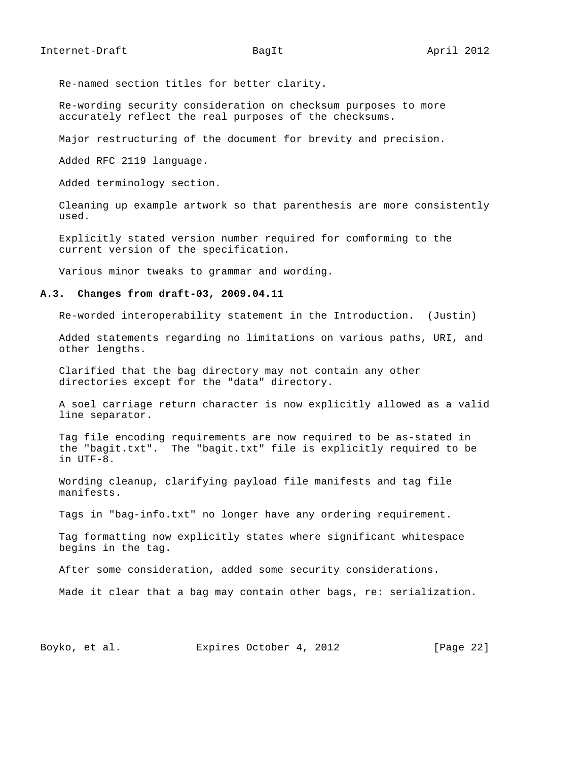Re-named section titles for better clarity.

 Re-wording security consideration on checksum purposes to more accurately reflect the real purposes of the checksums.

Major restructuring of the document for brevity and precision.

Added RFC 2119 language.

Added terminology section.

 Cleaning up example artwork so that parenthesis are more consistently used.

 Explicitly stated version number required for comforming to the current version of the specification.

Various minor tweaks to grammar and wording.

#### **A.3. Changes from draft-03, 2009.04.11**

Re-worded interoperability statement in the Introduction. (Justin)

 Added statements regarding no limitations on various paths, URI, and other lengths.

 Clarified that the bag directory may not contain any other directories except for the "data" directory.

 A soel carriage return character is now explicitly allowed as a valid line separator.

 Tag file encoding requirements are now required to be as-stated in the "bagit.txt". The "bagit.txt" file is explicitly required to be in UTF-8.

 Wording cleanup, clarifying payload file manifests and tag file manifests.

Tags in "bag-info.txt" no longer have any ordering requirement.

 Tag formatting now explicitly states where significant whitespace begins in the tag.

After some consideration, added some security considerations.

Made it clear that a bag may contain other bags, re: serialization.

Boyko, et al. Expires October 4, 2012 [Page 22]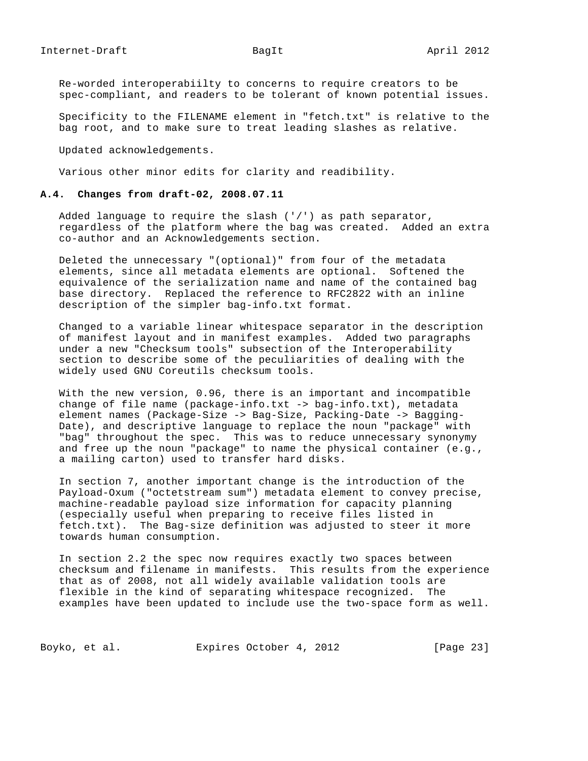Re-worded interoperabiilty to concerns to require creators to be spec-compliant, and readers to be tolerant of known potential issues.

 Specificity to the FILENAME element in "fetch.txt" is relative to the bag root, and to make sure to treat leading slashes as relative.

Updated acknowledgements.

Various other minor edits for clarity and readibility.

## **A.4. Changes from draft-02, 2008.07.11**

 Added language to require the slash ('/') as path separator, regardless of the platform where the bag was created. Added an extra co-author and an Acknowledgements section.

 Deleted the unnecessary "(optional)" from four of the metadata elements, since all metadata elements are optional. Softened the equivalence of the serialization name and name of the contained bag base directory. Replaced the reference to RFC2822 with an inline description of the simpler bag-info.txt format.

 Changed to a variable linear whitespace separator in the description of manifest layout and in manifest examples. Added two paragraphs under a new "Checksum tools" subsection of the Interoperability section to describe some of the peculiarities of dealing with the widely used GNU Coreutils checksum tools.

 With the new version, 0.96, there is an important and incompatible change of file name (package-info.txt -> bag-info.txt), metadata element names (Package-Size -> Bag-Size, Packing-Date -> Bagging- Date), and descriptive language to replace the noun "package" with "bag" throughout the spec. This was to reduce unnecessary synonymy and free up the noun "package" to name the physical container (e.g., a mailing carton) used to transfer hard disks.

 In section 7, another important change is the introduction of the Payload-Oxum ("octetstream sum") metadata element to convey precise, machine-readable payload size information for capacity planning (especially useful when preparing to receive files listed in fetch.txt). The Bag-size definition was adjusted to steer it more towards human consumption.

 In section 2.2 the spec now requires exactly two spaces between checksum and filename in manifests. This results from the experience that as of 2008, not all widely available validation tools are flexible in the kind of separating whitespace recognized. The examples have been updated to include use the two-space form as well.

Boyko, et al. Expires October 4, 2012 [Page 23]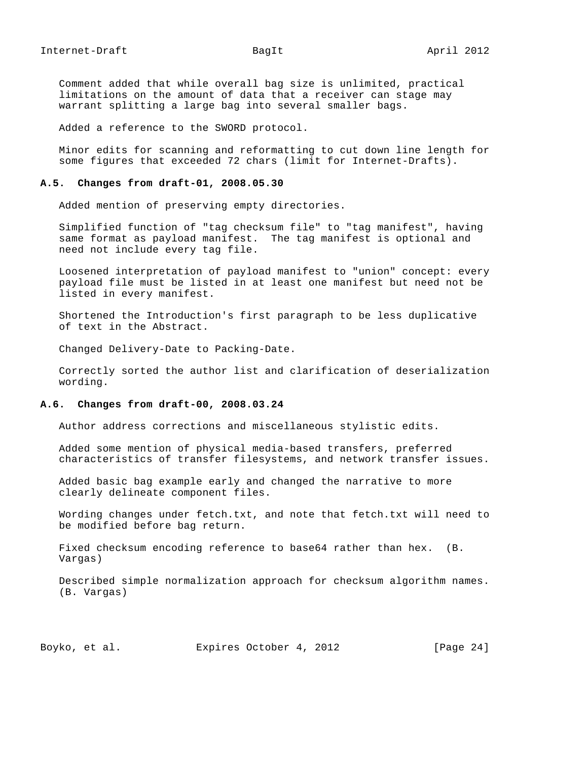Comment added that while overall bag size is unlimited, practical limitations on the amount of data that a receiver can stage may warrant splitting a large bag into several smaller bags.

Added a reference to the SWORD protocol.

 Minor edits for scanning and reformatting to cut down line length for some figures that exceeded 72 chars (limit for Internet-Drafts).

### **A.5. Changes from draft-01, 2008.05.30**

Added mention of preserving empty directories.

 Simplified function of "tag checksum file" to "tag manifest", having same format as payload manifest. The tag manifest is optional and need not include every tag file.

 Loosened interpretation of payload manifest to "union" concept: every payload file must be listed in at least one manifest but need not be listed in every manifest.

 Shortened the Introduction's first paragraph to be less duplicative of text in the Abstract.

Changed Delivery-Date to Packing-Date.

 Correctly sorted the author list and clarification of deserialization wording.

### **A.6. Changes from draft-00, 2008.03.24**

Author address corrections and miscellaneous stylistic edits.

 Added some mention of physical media-based transfers, preferred characteristics of transfer filesystems, and network transfer issues.

 Added basic bag example early and changed the narrative to more clearly delineate component files.

 Wording changes under fetch.txt, and note that fetch.txt will need to be modified before bag return.

 Fixed checksum encoding reference to base64 rather than hex. (B. Vargas)

 Described simple normalization approach for checksum algorithm names. (B. Vargas)

Boyko, et al. Expires October 4, 2012 [Page 24]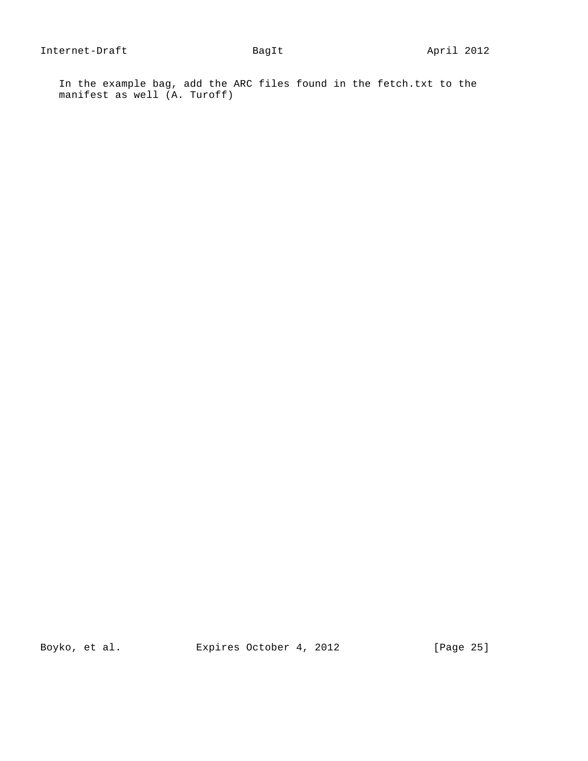In the example bag, add the ARC files found in the fetch.txt to the manifest as well (A. Turoff)

Boyko, et al. Expires October 4, 2012 [Page 25]